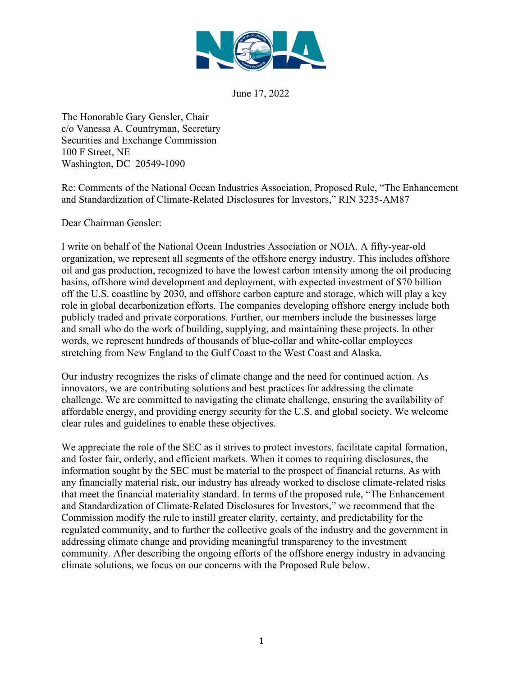

June 17, 2022

The Honorable Gary Gensler, Chair c/o Vanessa A. Countryman, Secretary Securities and Exchange Commission 100 F Street, NE Washington, DC 20549-1090

Re: Comments of the National Ocean Industries Association, Proposed Rule, "The Enhancement and Standardization of Climate-Related Disclosures for Investors," RIN 3235-AM87

Dear Chairman Gensler:

I write on behalf of the National Ocean Industries Association or NOIA. A fifty-year-old organization, we represent all segments of the offshore energy industry. This includes offshore oil and gas production, recognized to have the lowest carbon intensity among the oil producing basins, offshore wind development and deployment, with expected investment of \$70 billion off the U.S. coastline by 2030, and offshore carbon capture and storage, which will play a key role in global decarbonization efforts. The companies developing offshore energy include both publicly traded and private corporations. Further, our members include the businesses large and small who do the work of building, supplying, and maintaining these projects. In other words, we represent hundreds of thousands of blue-collar and white-collar employees stretching from New England to the Gulf Coast to the West Coast and Alaska.

Our industry recognizes the risks of climate change and the need for continued action. As innovators, we are contributing solutions and best practices for addressing the climate challenge. We are committed to navigating the climate challenge, ensuring the availability of affordable energy, and providing energy security for the U.S. and global society. We welcome clear rules and guidelines to enable these objectives.

We appreciate the role of the SEC as it strives to protect investors, facilitate capital formation, and foster fair, orderly, and efficient markets. When it comes to requiring disclosures, the information sought by the SEC must be material to the prospect of financial returns. As with any financially material risk, our industry has already worked to disclose climate-related risks that meet the financial materiality standard. In terms of the proposed rule, "The Enhancement and Standardization of Climate-Related Disclosures for Investors," we recommend that the Commission modify the rule to instill greater clarity, certainty, and predictability for the regulated community, and to further the collective goals of the industry and the government in addressing climate change and providing meaningful transparency to the investment community. After describing the ongoing efforts of the offshore energy industry in advancing climate solutions, we focus on our concerns with the Proposed Rule below.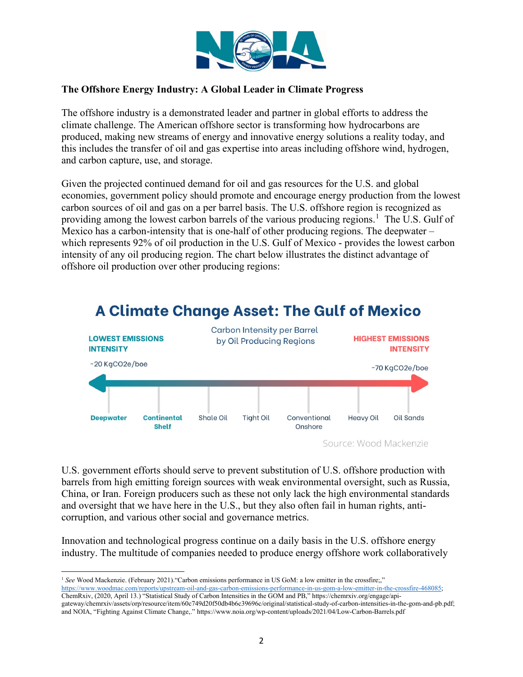

## **The Offshore Energy Industry: A Global Leader in Climate Progress**

The offshore industry is a demonstrated leader and partner in global efforts to address the climate challenge. The American offshore sector is transforming how hydrocarbons are produced, making new streams of energy and innovative energy solutions a reality today, and this includes the transfer of oil and gas expertise into areas including offshore wind, hydrogen, and carbon capture, use, and storage.

Given the projected continued demand for oil and gas resources for the U.S. and global economies, government policy should promote and encourage energy production from the lowest carbon sources of oil and gas on a per barrel basis. The U.S. offshore region is recognized as providing among the lowest carbon barrels of the various producing regions.<sup>[1](#page-1-0)</sup> The U.S. Gulf of Mexico has a carbon-intensity that is one-half of other producing regions. The deepwater – which represents 92% of oil production in the U.S. Gulf of Mexico - provides the lowest carbon intensity of any oil producing region. The chart below illustrates the distinct advantage of offshore oil production over other producing regions:



U.S. government efforts should serve to prevent substitution of U.S. offshore production with barrels from high emitting foreign sources with weak environmental oversight, such as Russia, China, or Iran. Foreign producers such as these not only lack the high environmental standards and oversight that we have here in the U.S., but they also often fail in human rights, anticorruption, and various other social and governance metrics.

Innovation and technological progress continue on a daily basis in the U.S. offshore energy industry. The multitude of companies needed to produce energy offshore work collaboratively

[https://www.woodmac.com/reports/upstream-oil-and-gas-carbon-emissions-performance-in-us-gom-a-low-emitter-in-the-crossfire-468085;](https://www.woodmac.com/reports/upstream-oil-and-gas-carbon-emissions-performance-in-us-gom-a-low-emitter-in-the-crossfire-468085) ChemRxiv, (2020, April 13.) "Statistical Study of Carbon Intensities in the GOM and PB," https://chemrxiv.org/engage/api-

<span id="page-1-0"></span><sup>&</sup>lt;sup>1</sup> See Wood Mackenzie. (February 2021). "Carbon emissions performance in US GoM: a low emitter in the crossfire;,"

gateway/chemrxiv/assets/orp/resource/item/60c749d20f50db4b6c39696c/original/statistical-study-of-carbon-intensities-in-the-gom-and-pb.pdf; and NOIA, "Fighting Against Climate Change,." https://www.noia.org/wp-content/uploads/2021/04/Low-Carbon-Barrels.pdf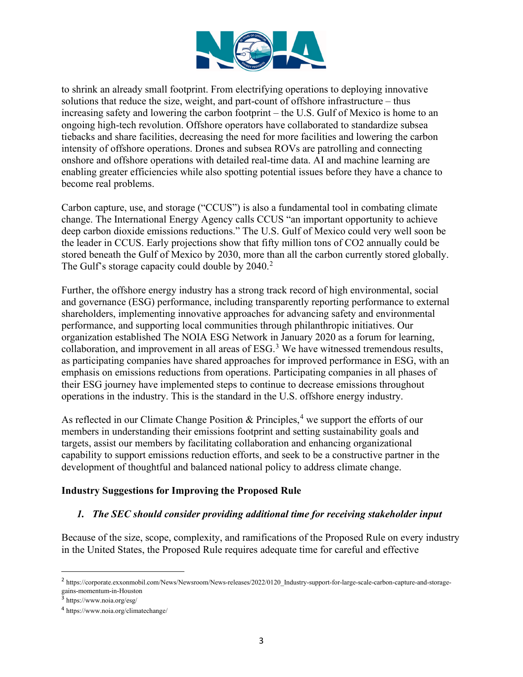

to shrink an already small footprint. From electrifying operations to deploying innovative solutions that reduce the size, weight, and part-count of offshore infrastructure – thus increasing safety and lowering the carbon footprint – the U.S. Gulf of Mexico is home to an ongoing high-tech revolution. Offshore operators have collaborated to standardize subsea tiebacks and share facilities, decreasing the need for more facilities and lowering the carbon intensity of offshore operations. Drones and subsea ROVs are patrolling and connecting onshore and offshore operations with detailed real-time data. AI and machine learning are enabling greater efficiencies while also spotting potential issues before they have a chance to become real problems.

Carbon capture, use, and storage ("CCUS") is also a fundamental tool in combating climate change. The International Energy Agency calls CCUS "an important opportunity to achieve deep carbon dioxide emissions reductions." The U.S. Gulf of Mexico could very well soon be the leader in CCUS. Early projections show that fifty million tons of CO2 annually could be stored beneath the Gulf of Mexico by 2030, more than all the carbon currently stored globally. The Gulf's storage capacity could double by  $2040$  $2040$ <sup>2</sup>

Further, the offshore energy industry has a strong track record of high environmental, social and governance (ESG) performance, including transparently reporting performance to external shareholders, implementing innovative approaches for advancing safety and environmental performance, and supporting local communities through philanthropic initiatives. Our organization established The NOIA ESG Network in January 2020 as a forum for learning, collaboration, and improvement in all areas of  $ESG<sup>3</sup>$  $ESG<sup>3</sup>$  $ESG<sup>3</sup>$  We have witnessed tremendous results, as participating companies have shared approaches for improved performance in ESG, with an emphasis on emissions reductions from operations. Participating companies in all phases of their ESG journey have implemented steps to continue to decrease emissions throughout operations in the industry. This is the standard in the U.S. offshore energy industry.

As reflected in our Climate Change Position & Principles,<sup>[4](#page-2-2)</sup> we support the efforts of our members in understanding their emissions footprint and setting sustainability goals and targets, assist our members by facilitating collaboration and enhancing organizational capability to support emissions reduction efforts, and seek to be a constructive partner in the development of thoughtful and balanced national policy to address climate change.

### **Industry Suggestions for Improving the Proposed Rule**

### *1. The SEC should consider providing additional time for receiving stakeholder input*

Because of the size, scope, complexity, and ramifications of the Proposed Rule on every industry in the United States, the Proposed Rule requires adequate time for careful and effective

<span id="page-2-0"></span><sup>2</sup> https://corporate.exxonmobil.com/News/Newsroom/News-releases/2022/0120\_Industry-support-for-large-scale-carbon-capture-and-storagegains-momentum-in-Houston

<span id="page-2-1"></span><sup>3</sup> https://www.noia.org/esg/

<span id="page-2-2"></span><sup>4</sup> https://www.noia.org/climatechange/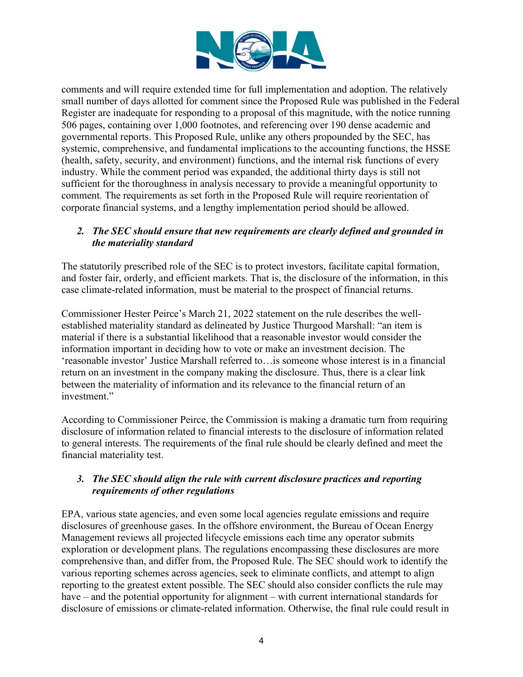

comments and will require extended time for full implementation and adoption. The relatively small number of days allotted for comment since the Proposed Rule was published in the Federal Register are inadequate for responding to a proposal of this magnitude, with the notice running 506 pages, containing over 1,000 footnotes, and referencing over 190 dense academic and governmental reports. This Proposed Rule, unlike any others propounded by the SEC, has systemic, comprehensive, and fundamental implications to the accounting functions, the HSSE (health, safety, security, and environment) functions, and the internal risk functions of every industry. While the comment period was expanded, the additional thirty days is still not sufficient for the thoroughness in analysis necessary to provide a meaningful opportunity to comment. The requirements as set forth in the Proposed Rule will require reorientation of corporate financial systems, and a lengthy implementation period should be allowed.

### *2. The SEC should ensure that new requirements are clearly defined and grounded in the materiality standard*

The statutorily prescribed role of the SEC is to protect investors, facilitate capital formation, and foster fair, orderly, and efficient markets. That is, the disclosure of the information, in this case climate-related information, must be material to the prospect of financial returns.

Commissioner Hester Peirce's March 21, 2022 statement on the rule describes the wellestablished materiality standard as delineated by Justice Thurgood Marshall: "an item is material if there is a substantial likelihood that a reasonable investor would consider the information important in deciding how to vote or make an investment decision. The 'reasonable investor' Justice Marshall referred to…is someone whose interest is in a financial return on an investment in the company making the disclosure. Thus, there is a clear link between the materiality of information and its relevance to the financial return of an investment."

According to Commissioner Peirce, the Commission is making a dramatic turn from requiring disclosure of information related to financial interests to the disclosure of information related to general interests. The requirements of the final rule should be clearly defined and meet the financial materiality test.

### *3. The SEC should align the rule with current disclosure practices and reporting requirements of other regulations*

EPA, various state agencies, and even some local agencies regulate emissions and require disclosures of greenhouse gases. In the offshore environment, the Bureau of Ocean Energy Management reviews all projected lifecycle emissions each time any operator submits exploration or development plans. The regulations encompassing these disclosures are more comprehensive than, and differ from, the Proposed Rule. The SEC should work to identify the various reporting schemes across agencies, seek to eliminate conflicts, and attempt to align reporting to the greatest extent possible. The SEC should also consider conflicts the rule may have – and the potential opportunity for alignment – with current international standards for disclosure of emissions or climate-related information. Otherwise, the final rule could result in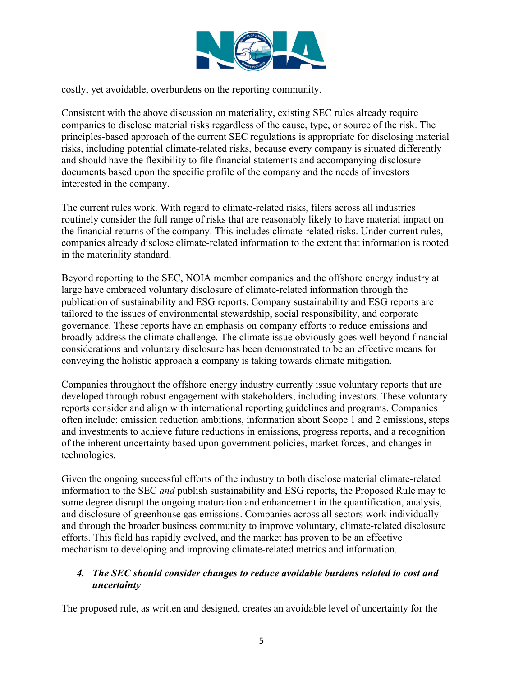

costly, yet avoidable, overburdens on the reporting community.

Consistent with the above discussion on materiality, existing SEC rules already require companies to disclose material risks regardless of the cause, type, or source of the risk. The principles-based approach of the current SEC regulations is appropriate for disclosing material risks, including potential climate-related risks, because every company is situated differently and should have the flexibility to file financial statements and accompanying disclosure documents based upon the specific profile of the company and the needs of investors interested in the company.

The current rules work. With regard to climate-related risks, filers across all industries routinely consider the full range of risks that are reasonably likely to have material impact on the financial returns of the company. This includes climate-related risks. Under current rules, companies already disclose climate-related information to the extent that information is rooted in the materiality standard.

Beyond reporting to the SEC, NOIA member companies and the offshore energy industry at large have embraced voluntary disclosure of climate-related information through the publication of sustainability and ESG reports. Company sustainability and ESG reports are tailored to the issues of environmental stewardship, social responsibility, and corporate governance. These reports have an emphasis on company efforts to reduce emissions and broadly address the climate challenge. The climate issue obviously goes well beyond financial considerations and voluntary disclosure has been demonstrated to be an effective means for conveying the holistic approach a company is taking towards climate mitigation.

Companies throughout the offshore energy industry currently issue voluntary reports that are developed through robust engagement with stakeholders, including investors. These voluntary reports consider and align with international reporting guidelines and programs. Companies often include: emission reduction ambitions, information about Scope 1 and 2 emissions, steps and investments to achieve future reductions in emissions, progress reports, and a recognition of the inherent uncertainty based upon government policies, market forces, and changes in technologies.

Given the ongoing successful efforts of the industry to both disclose material climate-related information to the SEC *and* publish sustainability and ESG reports, the Proposed Rule may to some degree disrupt the ongoing maturation and enhancement in the quantification, analysis, and disclosure of greenhouse gas emissions. Companies across all sectors work individually and through the broader business community to improve voluntary, climate-related disclosure efforts. This field has rapidly evolved, and the market has proven to be an effective mechanism to developing and improving climate-related metrics and information.

### *4. The SEC should consider changes to reduce avoidable burdens related to cost and uncertainty*

The proposed rule, as written and designed, creates an avoidable level of uncertainty for the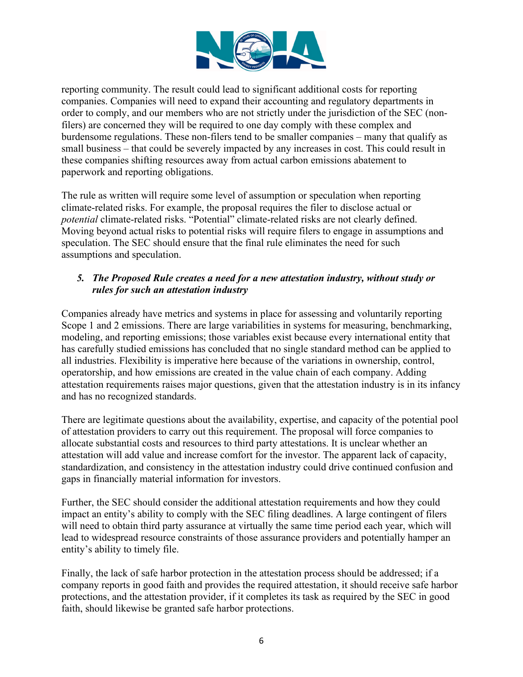

reporting community. The result could lead to significant additional costs for reporting companies. Companies will need to expand their accounting and regulatory departments in order to comply, and our members who are not strictly under the jurisdiction of the SEC (nonfilers) are concerned they will be required to one day comply with these complex and burdensome regulations. These non-filers tend to be smaller companies – many that qualify as small business – that could be severely impacted by any increases in cost. This could result in these companies shifting resources away from actual carbon emissions abatement to paperwork and reporting obligations.

The rule as written will require some level of assumption or speculation when reporting climate-related risks. For example, the proposal requires the filer to disclose actual or *potential* climate-related risks. "Potential" climate-related risks are not clearly defined. Moving beyond actual risks to potential risks will require filers to engage in assumptions and speculation. The SEC should ensure that the final rule eliminates the need for such assumptions and speculation.

# *5. The Proposed Rule creates a need for a new attestation industry, without study or rules for such an attestation industry*

Companies already have metrics and systems in place for assessing and voluntarily reporting Scope 1 and 2 emissions. There are large variabilities in systems for measuring, benchmarking, modeling, and reporting emissions; those variables exist because every international entity that has carefully studied emissions has concluded that no single standard method can be applied to all industries. Flexibility is imperative here because of the variations in ownership, control, operatorship, and how emissions are created in the value chain of each company. Adding attestation requirements raises major questions, given that the attestation industry is in its infancy and has no recognized standards.

There are legitimate questions about the availability, expertise, and capacity of the potential pool of attestation providers to carry out this requirement. The proposal will force companies to allocate substantial costs and resources to third party attestations. It is unclear whether an attestation will add value and increase comfort for the investor. The apparent lack of capacity, standardization, and consistency in the attestation industry could drive continued confusion and gaps in financially material information for investors.

Further, the SEC should consider the additional attestation requirements and how they could impact an entity's ability to comply with the SEC filing deadlines. A large contingent of filers will need to obtain third party assurance at virtually the same time period each year, which will lead to widespread resource constraints of those assurance providers and potentially hamper an entity's ability to timely file.

Finally, the lack of safe harbor protection in the attestation process should be addressed; if a company reports in good faith and provides the required attestation, it should receive safe harbor protections, and the attestation provider, if it completes its task as required by the SEC in good faith, should likewise be granted safe harbor protections.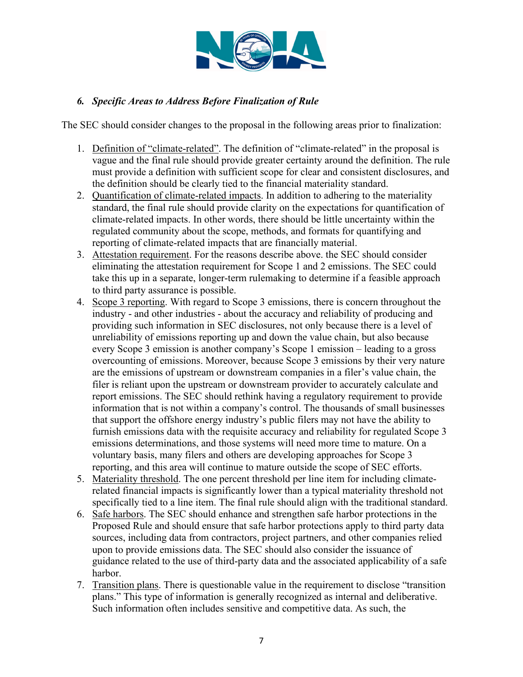

# *6. Specific Areas to Address Before Finalization of Rule*

The SEC should consider changes to the proposal in the following areas prior to finalization:

- 1. Definition of "climate-related". The definition of "climate-related" in the proposal is vague and the final rule should provide greater certainty around the definition. The rule must provide a definition with sufficient scope for clear and consistent disclosures, and the definition should be clearly tied to the financial materiality standard.
- 2. Quantification of climate-related impacts. In addition to adhering to the materiality standard, the final rule should provide clarity on the expectations for quantification of climate-related impacts. In other words, there should be little uncertainty within the regulated community about the scope, methods, and formats for quantifying and reporting of climate-related impacts that are financially material.
- 3. Attestation requirement. For the reasons describe above. the SEC should consider eliminating the attestation requirement for Scope 1 and 2 emissions. The SEC could take this up in a separate, longer-term rulemaking to determine if a feasible approach to third party assurance is possible.
- 4. Scope 3 reporting. With regard to Scope 3 emissions, there is concern throughout the industry - and other industries - about the accuracy and reliability of producing and providing such information in SEC disclosures, not only because there is a level of unreliability of emissions reporting up and down the value chain, but also because every Scope 3 emission is another company's Scope 1 emission – leading to a gross overcounting of emissions. Moreover, because Scope 3 emissions by their very nature are the emissions of upstream or downstream companies in a filer's value chain, the filer is reliant upon the upstream or downstream provider to accurately calculate and report emissions. The SEC should rethink having a regulatory requirement to provide information that is not within a company's control. The thousands of small businesses that support the offshore energy industry's public filers may not have the ability to furnish emissions data with the requisite accuracy and reliability for regulated Scope 3 emissions determinations, and those systems will need more time to mature. On a voluntary basis, many filers and others are developing approaches for Scope 3 reporting, and this area will continue to mature outside the scope of SEC efforts.
- 5. Materiality threshold. The one percent threshold per line item for including climaterelated financial impacts is significantly lower than a typical materiality threshold not specifically tied to a line item. The final rule should align with the traditional standard.
- 6. Safe harbors. The SEC should enhance and strengthen safe harbor protections in the Proposed Rule and should ensure that safe harbor protections apply to third party data sources, including data from contractors, project partners, and other companies relied upon to provide emissions data. The SEC should also consider the issuance of guidance related to the use of third-party data and the associated applicability of a safe harbor.
- 7. Transition plans. There is questionable value in the requirement to disclose "transition plans." This type of information is generally recognized as internal and deliberative. Such information often includes sensitive and competitive data. As such, the